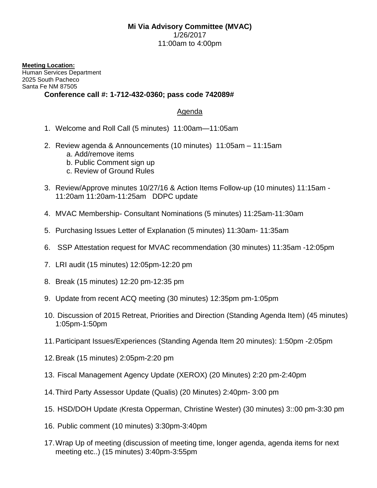## **Mi Via Advisory Committee (MVAC)** 1/26/2017 11:00am to 4:00pm

**Meeting Location:** Human Services Department 2025 South Pacheco Santa Fe NM 87505

## **Conference call #: 1-712-432-0360; pass code 742089#**

## Agenda

- 1. Welcome and Roll Call (5 minutes) 11:00am—11:05am
- 2. Review agenda & Announcements (10 minutes) 11:05am 11:15am
	- a. Add/remove items
	- b. Public Comment sign up
	- c. Review of Ground Rules
- 3. Review/Approve minutes 10/27/16 & Action Items Follow-up (10 minutes) 11:15am 11:20am 11:20am-11:25am DDPC update
- 4. MVAC Membership- Consultant Nominations (5 minutes) 11:25am-11:30am
- 5. Purchasing Issues Letter of Explanation (5 minutes) 11:30am- 11:35am
- 6. SSP Attestation request for MVAC recommendation (30 minutes) 11:35am -12:05pm
- 7. LRI audit (15 minutes) 12:05pm-12:20 pm
- 8. Break (15 minutes) 12:20 pm-12:35 pm
- 9. Update from recent ACQ meeting (30 minutes) 12:35pm pm-1:05pm
- 10. Discussion of 2015 Retreat, Priorities and Direction (Standing Agenda Item) (45 minutes) 1:05pm-1:50pm
- 11.Participant Issues/Experiences (Standing Agenda Item 20 minutes): 1:50pm -2:05pm
- 12.Break (15 minutes) 2:05pm-2:20 pm
- 13. Fiscal Management Agency Update (XEROX) (20 Minutes) 2:20 pm-2:40pm
- 14.Third Party Assessor Update (Qualis) (20 Minutes) 2:40pm- 3:00 pm
- 15. HSD/DOH Update (Kresta Opperman, Christine Wester) (30 minutes) 3::00 pm-3:30 pm
- 16. Public comment (10 minutes) 3:30pm-3:40pm
- 17.Wrap Up of meeting (discussion of meeting time, longer agenda, agenda items for next meeting etc..) (15 minutes) 3:40pm-3:55pm